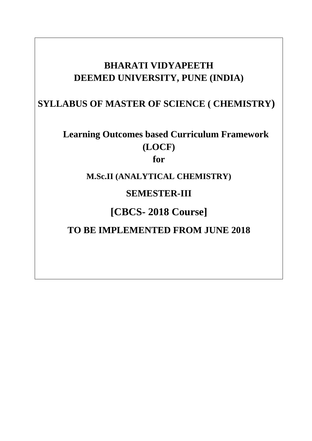# **BHARATI VIDYAPEETH DEEMED UNIVERSITY, PUNE (INDIA)**

# **SYLLABUS OF MASTER OF SCIENCE ( CHEMISTRY)**

# **Learning Outcomes based Curriculum Framework (LOCF)**

**for**

**M.Sc.II (ANALYTICAL CHEMISTRY)**

**SEMESTER-III**

**[CBCS- 2018 Course]**

**TO BE IMPLEMENTED FROM JUNE 2018**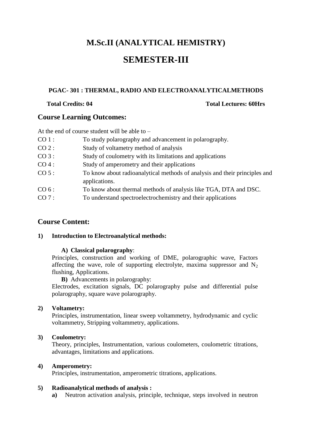# **M.Sc.II (ANALYTICAL HEMISTRY)**

# **SEMESTER-III**

## **PGAC- 301 : THERMAL, RADIO AND ELECTROANALYTICALMETHODS**

## **Total Credits: 04 Total Lectures: 60Hrs**

## **Course Learning Outcomes:**

At the end of course student will be able to –

- CO 1 : To study polarography and advancement in polarography. CO 2 : Study of voltametry method of analysis CO 3 : Study of coulometry with its limitations and applications CO 4 : Study of amperometry and their applications CO 5 : To know about radioanalytical methods of analysis and their principles and applications.
- CO 6 : To know about thermal methods of analysis like TGA, DTA and DSC.
- CO 7 : To understand spectroelectrochemistry and their applications

## **Course Content:**

#### **1) Introduction to Electroanalytical methods:**

## **A) Classical polarography**:

Principles, construction and working of DME, polarographic wave, Factors affecting the wave, role of supporting electrolyte, maxima suppressor and  $N_2$ flushing, Applications.

**B)** Advancements in polarography:

Electrodes, excitation signals, DC polarography pulse and differential pulse polarography, square wave polarography.

#### **2) Voltametry:**

Principles, instrumentation, linear sweep voltammetry, hydrodynamic and cyclic voltammetry, Stripping voltammetry, applications.

## **3) Coulometry:**

Theory, principles, Instrumentation, various coulometers, coulometric titrations, advantages, limitations and applications.

## **4) Amperometry:**

Principles, instrumentation, amperometric titrations, applications.

## **5) Radioanalytical methods of analysis :**

**a)** Neutron activation analysis, principle, technique, steps involved in neutron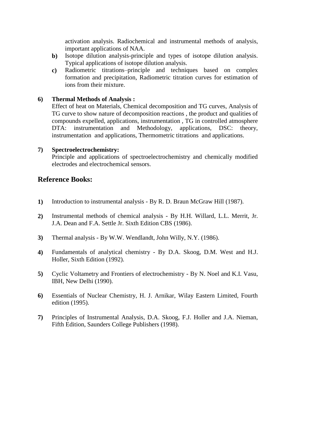activation analysis. Radiochemical and instrumental methods of analysis, important applications of NAA.

- **b)** Isotope dilution analysis-principle and types of isotope dilution analysis. Typical applications of isotope dilution analysis.
- **c)** Radiometric titrations–principle and techniques based on complex formation and precipitation, Radiometric titration curves for estimation of ions from their mixture.

## **6) Thermal Methods of Analysis :**

Effect of heat on Materials, Chemical decomposition and TG curves, Analysis of TG curve to show nature of decomposition reactions , the product and qualities of compounds expelled, applications, instrumentation , TG in controlled atmosphere DTA: instrumentation and Methodology, applications, DSC: theory, instrumentation and applications, Thermometric titrations and applications.

## **7) Spectroelectrochemistry:**

Principle and applications of spectroelectrochemistry and chemically modified electrodes and electrochemical sensors.

- **1)** Introduction to instrumental analysis By R. D. Braun McGraw Hill (1987).
- **2)** Instrumental methods of chemical analysis By H.H. Willard, L.L. Merrit, Jr. J.A. Dean and F.A. Settle Jr. Sixth Edition CBS (1986).
- **3)** Thermal analysis By W.W. Wendlandt, John Willy, N.Y. (1986).
- **4)** Fundamentals of analytical chemistry By D.A. Skoog, D.M. West and H.J. Holler, Sixth Edition (1992).
- **5)** Cyclic Voltametry and Frontiers of electrochemistry By N. Noel and K.I. Vasu, IBH, New Delhi (1990).
- **6)** Essentials of Nuclear Chemistry, H. J. Arnikar, Wilay Eastern Limited, Fourth edition (1995).
- **7)** Principles of Instrumental Analysis, D.A. Skoog, F.J. Holler and J.A. Nieman, Fifth Edition, Saunders College Publishers (1998).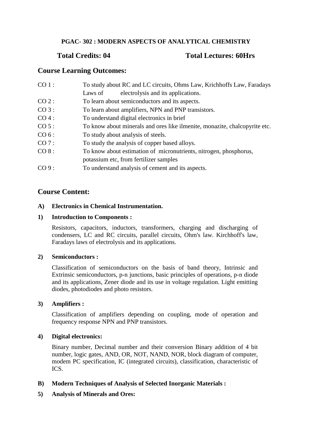## **PGAC- 302 : MODERN ASPECTS OF ANALYTICAL CHEMISTRY**

## **Total Credits: 04 Total Lectures: 60Hrs**

## **Course Learning Outcomes:**

| $CO 1$ : | To study about RC and LC circuits, Ohms Law, Krichhoffs Law, Faradays      |
|----------|----------------------------------------------------------------------------|
|          | electrolysis and its applications.<br>Laws of                              |
| CO 2:    | To learn about semiconductors and its aspects.                             |
| $CO3$ :  | To learn about amplifiers, NPN and PNP transistors.                        |
| $CO4$ :  | To understand digital electronics in brief                                 |
| CO 5:    | To know about minerals and ores like ilmenite, monazite, chalcopyrite etc. |
| CO 6:    | To study about analysis of steels.                                         |
| CO7:     | To study the analysis of copper based alloys.                              |
| CO 8:    | To know about estimation of micronutrients, nitrogen, phosphorus,          |
|          | potassium etc, from fertilizer samples                                     |
| CO9:     | To understand analysis of cement and its aspects.                          |

## **Course Content:**

## **A) Electronics in Chemical Instrumentation.**

## **1) Introduction to Components :**

Resistors, capacitors, inductors, transformers, charging and discharging of condensers, LC and RC circuits, parallel circuits, Ohm's law. Kirchhoff's law, Faradays laws of electrolysis and its applications.

## **2) Semiconductors :**

Classification of semiconductors on the basis of band theory, Intrinsic and Extrinsic semiconductors, p-n junctions, basic principles of operations, p-n diode and its applications, Zener diode and its use in voltage regulation. Light emitting diodes, photodiodes and photo resistors.

## **3) Amplifiers :**

Classification of amplifiers depending on coupling, mode of operation and frequency response NPN and PNP transistors.

## **4) Digital electronics:**

Binary number, Decimal number and their conversion Binary addition of 4 bit number, logic gates, AND, OR, NOT, NAND, NOR, block diagram of computer, modem PC specification, IC (integrated circuits), classification, characteristic of ICS.

## **B) Modern Techniques of Analysis of Selected Inorganic Materials :**

## **5) Analysis of Minerals and Ores:**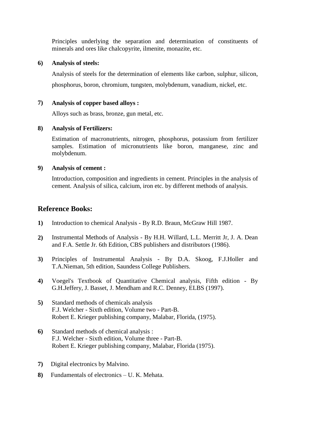Principles underlying the separation and determination of constituents of minerals and ores like chalcopyrite, ilmenite, monazite, etc.

## **6) Analysis of steels:**

Analysis of steels for the determination of elements like carbon, sulphur, silicon, phosphorus, boron, chromium, tungsten, molybdenum, vanadium, nickel, etc.

## **7) Analysis of copper based alloys :**

Alloys such as brass, bronze, gun metal, etc.

## **8) Analysis of Fertilizers:**

Estimation of macronutrients, nitrogen, phosphorus, potassium from fertilizer samples. Estimation of micronutrients like boron, manganese, zinc and molybdenum.

## **9) Analysis of cement :**

Introduction, composition and ingredients in cement. Principles in the analysis of cement. Analysis of silica, calcium, iron etc. by different methods of analysis.

- **1)** Introduction to chemical Analysis By R.D. Braun, McGraw Hill 1987.
- **2)** Instrumental Methods of Analysis By H.H. Willard, L.L. Merritt Jr, J. A. Dean and F.A. Settle Jr. 6th Edition, CBS publishers and distributors (1986).
- **3)** Principles of Instrumental Analysis By D.A. Skoog, F.J.Holler and T.A.Nieman, 5th edition, Saundess College Publishers.
- **4)** Voegel's Textbook of Quantitative Chemical analysis, Fifth edition By G.H.Jeffery, J. Basset, J. Mendham and R.C. Denney, ELBS (1997).
- **5)** Standard methods of chemicals analysis F.J. Welcher - Sixth edition, Volume two - Part-B. Robert E. Krieger publishing company, Malabar, Florida, (1975).
- **6)** Standard methods of chemical analysis : F.J. Welcher - Sixth edition, Volume three - Part-B. Robert E. Krieger publishing company, Malabar, Florida (1975).
- **7)** Digital electronics by Malvino.
- **8)** Fundamentals of electronics U. K. Mehata.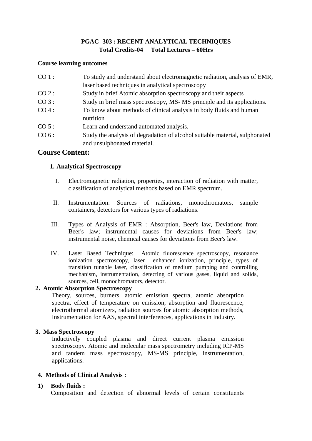## **PGAC- 303 : RECENT ANALYTICAL TECHNIQUES Total Credits-04 Total Lectures – 60Hrs**

#### **Course learning outcomes**

| $CO1$ :  | To study and understand about electromagnetic radiation, analysis of EMR,                                  |
|----------|------------------------------------------------------------------------------------------------------------|
|          | laser based techniques in analytical spectroscopy                                                          |
| $CO 2$ : | Study in brief Atomic absorption spectroscopy and their aspects                                            |
| CO3:     | Study in brief mass spectroscopy, MS- MS principle and its applications.                                   |
| $CO4$ :  | To know about methods of clinical analysis in body fluids and human<br>nutrition                           |
| CO 5:    | Learn and understand automated analysis.                                                                   |
| CO 6:    | Study the analysis of degradation of alcohol suitable material, sulphonated<br>and unsulphonated material. |

## **Course Content:**

## **1. Analytical Spectroscopy**

- I. Electromagnetic radiation, properties, interaction of radiation with matter, classification of analytical methods based on EMR spectrum.
- II. Instrumentation: Sources of radiations, monochromators, sample containers, detectors for various types of radiations.
- III. Types of Analysis of EMR : Absorption, Beer's law, Deviations from Beer's law; instrumental causes for deviations from Beer's law; instrumental noise, chemical causes for deviations from Beer's law.
- IV. Laser Based Technique: Atomic fluorescence spectroscopy, resonance ionization spectroscopy, laser enhanced ionization, principle, types of transition tunable laser, classification of medium pumping and controlling mechanism, instrumentation, detecting of various gases, liquid and solids, sources, cell, monochromators, detector.

## **2. Atomic Absorption Spectroscopy**

Theory, sources, burners, atomic emission spectra, atomic absorption spectra, effect of temperature on emission, absorption and fluorescence, electrothermal atomizers, radiation sources for atomic absorption methods, Instrumentation for AAS, spectral interferences, applications in Industry.

## **3. 3. Mass Spectroscopy**

Inductively coupled plasma and direct current plasma emission spectroscopy. Atomic and molecular mass spectrometry including ICP-MS and tandem mass spectroscopy, MS-MS principle, instrumentation, applications.

## **4. Methods of Clinical Analysis :**

## **1) Body fluids :**

Composition and detection of abnormal levels of certain constituents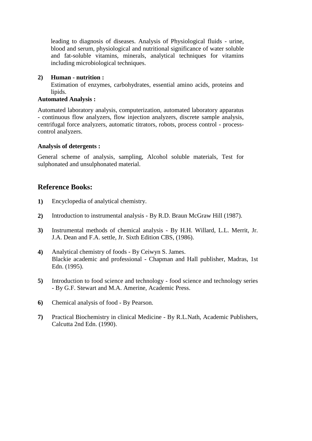leading to diagnosis of diseases. Analysis of Physiological fluids - urine, blood and serum, physiological and nutritional significance of water soluble and fat-soluble vitamins, minerals, analytical techniques for vitamins including microbiological techniques.

## **2) Human - nutrition :**

Estimation of enzymes, carbohydrates, essential amino acids, proteins and lipids.

## **Automated Analysis :**

Automated laboratory analysis, computerization, automated laboratory apparatus - continuous flow analyzers, flow injection analyzers, discrete sample analysis, centrifugal force analyzers, automatic titrators, robots, process control - processcontrol analyzers.

## **Analysis of detergents :**

General scheme of analysis, sampling, Alcohol soluble materials, Test for sulphonated and unsulphonated material.

- **1)** Encyclopedia of analytical chemistry.
- **2)** Introduction to instrumental analysis By R.D. Braun McGraw Hill (1987).
- **3)** Instrumental methods of chemical analysis By H.H. Willard, L.L. Merrit, Jr. J.A. Dean and F.A. settle, Jr. Sixth Edition CBS, (1986).
- **4)** Analytical chemistry of foods By Ceiwyn S. James. Blackie academic and professional - Chapman and Hall publisher, Madras, 1st Edn. (1995).
- **5)** Introduction to food science and technology food science and technology series - By G.F. Stewart and M.A. Amerine, Academic Press.
- **6)** Chemical analysis of food By Pearson.
- **7)** Practical Biochemistry in clinical Medicine By R.L.Nath, Academic Publishers, Calcutta 2nd Edn. (1990).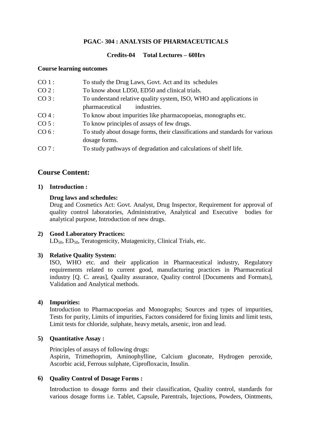## **PGAC- 304 : ANALYSIS OF PHARMACEUTICALS**

## **Credits-04 Total Lectures – 60Hrs**

#### **Course learning outcomes**

| CO 1:   | To study the Drug Laws, Govt. Act and its schedules                          |
|---------|------------------------------------------------------------------------------|
| CO 2:   | To know about LD50, ED50 and clinical trials.                                |
| CO3:    | To understand relative quality system, ISO, WHO and applications in          |
|         | pharmaceutical<br>industries.                                                |
| $CO4$ : | To know about impurities like pharmacopoeias, monographs etc.                |
| $CO5$ : | To know principles of assays of few drugs.                                   |
| CO 6:   | To study about dosage forms, their classifications and standards for various |
|         | dosage forms.                                                                |
| CO7:    | To study pathways of degradation and calculations of shelf life.             |
|         |                                                                              |

## **Course Content:**

## **1) Introduction :**

## **Drug laws and schedules:**

Drug and Cosmetics Act: Govt. Analyst, Drug Inspector, Requirement for approval of quality control laboratories, Administrative, Analytical and Executive bodies for analytical purpose, Introduction of new drugs.

## **2) Good Laboratory Practices:**

LD<sub>50</sub>, ED<sub>50</sub>, Teratogenicity, Mutagenicity, Clinical Trials, etc.

## **3) Relative Quality System:**

ISO, WHO etc. and their application in Pharmaceutical industry, Regulatory requirements related to current good, manufacturing practices in Pharmaceutical industry [Q. C. areas], Quality assurance, Quality control [Documents and Formats], Validation and Analytical methods.

## **4) Impurities:**

Introduction to Pharmacopoeias and Monographs; Sources and types of impurities, Tests for purity, Limits of impurities, Factors considered for fixing limits and limit tests, Limit tests for chloride, sulphate, heavy metals, arsenic, iron and lead.

## **5) Quantitative Assay :**

Principles of assays of following drugs:

Aspirin, Trimethoprim, Aminophylline, Calcium gluconate, Hydrogen peroxide, Ascorbic acid, Ferrous sulphate, Ciprofloxacin, Insulin.

## **6) Quality Control of Dosage Forms :**

Introduction to dosage forms and their classification, Quality control, standards for various dosage forms i.e. Tablet, Capsule, Parentrals, Injections, Powders, Ointments,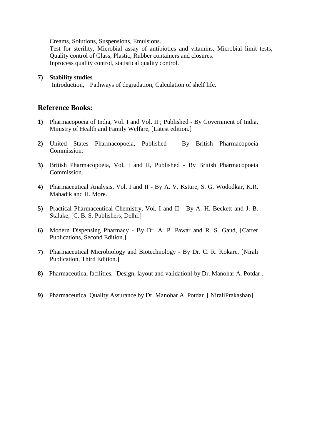Creams, Solutions, Suspensions, Emulsions.

Test for sterility, Microbial assay of antibiotics and vitamins, Microbial limit tests, Quality control of Glass, Plastic, Rubber containers and closures. Inprocess quality control, statistical quality control.

## **7) Stability studies**

Introduction, Pathways of degradation, Calculation of shelf life.

- **1)** Pharmacopoeia of India, Vol. I and Vol. II ; Published By Government of India, Ministry of Health and Family Welfare, [Latest edition.]
- **2)** United States Pharmacopoeia, Published By British Pharmacopoeia Commission.
- **3)** British Pharmacopoeia, Vol. I and II, Published By British Pharmacopoeia Commission.
- **4)** Pharmaceutical Analysis, Vol. I and II By A. V. Ksture, S. G. Wododkar, K.R. Mahadik and H. More.
- **5)** Practical Pharmaceutical Chemistry, Vol. I and II By A. H. Beckett and J. B. Stalake, [C. B. S. Publishers, Delhi.]
- **6)** Modern Dispensing Pharmacy By Dr. A. P. Pawar and R. S. Gaud, [Carrer Publications, Second Edition.]
- **7)** Pharmaceutical Microbiology and Biotechnology By Dr. C. R. Kokare, [Nirali Publication, Third Edition.]
- **8)** Pharmaceutical facilities, [Design, layout and validation] by Dr. Manohar A. Potdar .
- **9)** Pharmaceutical Quality Assurance by Dr. Manohar A. Potdar .[ NiraliPrakashan]